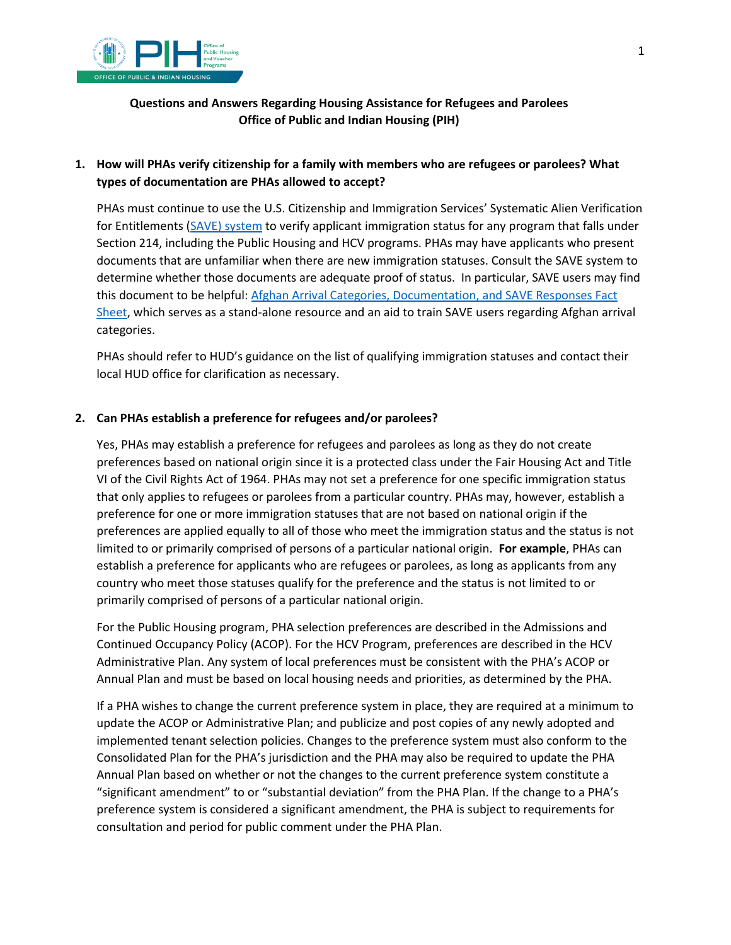

### **Questions and Answers Regarding Housing Assistance for Refugees and Parolees Office of Public and Indian Housing (PIH)**

# **1. How will PHAs verify citizenship for a family with members who are refugees or parolees? What types of documentation are PHAs allowed to accept?**

PHAs must continue to use the U.S. Citizenship and Immigration Services' Systematic Alien Verification for Entitlements [\(SAVE\) system](https://www.uscis.gov/save) to verify applicant immigration status for any program that falls under Section 214, including the Public Housing and HCV programs. PHAs may have applicants who present documents that are unfamiliar when there are new immigration statuses. Consult the SAVE system to determine whether those documents are adequate proof of status. In particular, SAVE users may find this document to be helpful: [Afghan Arrival Categories, Documentation, and SAVE Responses Fact](https://www.uscis.gov/save/whats-new/save-fact-sheet-information-for-save-users-afghan-arrival-categories-documentation-and-save)  [Sheet,](https://www.uscis.gov/save/whats-new/save-fact-sheet-information-for-save-users-afghan-arrival-categories-documentation-and-save) which serves as a stand-alone resource and an aid to train SAVE users regarding Afghan arrival categories.

PHAs should refer to HUD's guidance on the list of qualifying immigration statuses and contact their local HUD office for clarification as necessary.

### **2. Can PHAs establish a preference for refugees and/or parolees?**

Yes, PHAs may establish a preference for refugees and parolees as long as they do not create preferences based on national origin since it is a protected class under the Fair Housing Act and Title VI of the Civil Rights Act of 1964. PHAs may not set a preference for one specific immigration status that only applies to refugees or parolees from a particular country. PHAs may, however, establish a preference for one or more immigration statuses that are not based on national origin if the preferences are applied equally to all of those who meet the immigration status and the status is not limited to or primarily comprised of persons of a particular national origin. **For example**, PHAs can establish a preference for applicants who are refugees or parolees, as long as applicants from any country who meet those statuses qualify for the preference and the status is not limited to or primarily comprised of persons of a particular national origin.

For the Public Housing program, PHA selection preferences are described in the Admissions and Continued Occupancy Policy (ACOP). For the HCV Program, preferences are described in the HCV Administrative Plan. Any system of local preferences must be consistent with the PHA's ACOP or Annual Plan and must be based on local housing needs and priorities, as determined by the PHA.

If a PHA wishes to change the current preference system in place, they are required at a minimum to update the ACOP or Administrative Plan; and publicize and post copies of any newly adopted and implemented tenant selection policies. Changes to the preference system must also conform to the Consolidated Plan for the PHA's jurisdiction and the PHA may also be required to update the PHA Annual Plan based on whether or not the changes to the current preference system constitute a "significant amendment" to or "substantial deviation" from the PHA Plan. If the change to a PHA's preference system is considered a significant amendment, the PHA is subject to requirements for consultation and period for public comment under the PHA Plan.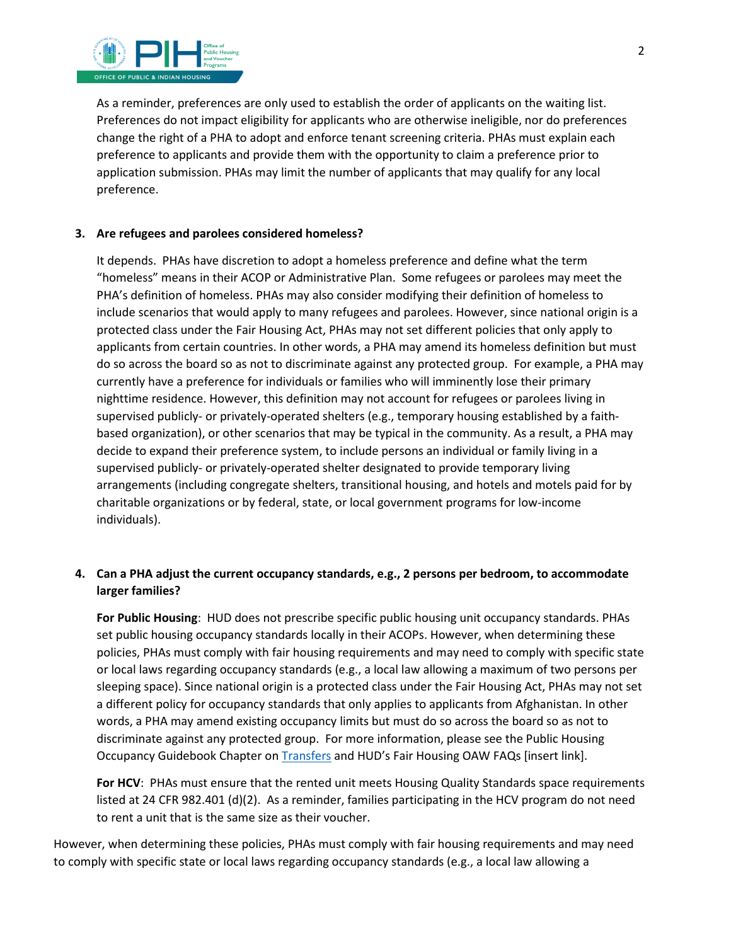

As a reminder, preferences are only used to establish the order of applicants on the waiting list. Preferences do not impact eligibility for applicants who are otherwise ineligible, nor do preferences change the right of a PHA to adopt and enforce tenant screening criteria. PHAs must explain each preference to applicants and provide them with the opportunity to claim a preference prior to application submission. PHAs may limit the number of applicants that may qualify for any local preference.

#### **3. Are refugees and parolees considered homeless?**

It depends. PHAs have discretion to adopt a homeless preference and define what the term "homeless" means in their ACOP or Administrative Plan. Some refugees or parolees may meet the PHA's definition of homeless. PHAs may also consider modifying their definition of homeless to include scenarios that would apply to many refugees and parolees. However, since national origin is a protected class under the Fair Housing Act, PHAs may not set different policies that only apply to applicants from certain countries. In other words, a PHA may amend its homeless definition but must do so across the board so as not to discriminate against any protected group. For example, a PHA may currently have a preference for individuals or families who will imminently lose their primary nighttime residence. However, this definition may not account for refugees or parolees living in supervised publicly- or privately-operated shelters (e.g., temporary housing established by a faithbased organization), or other scenarios that may be typical in the community. As a result, a PHA may decide to expand their preference system, to include persons an individual or family living in a supervised publicly- or privately-operated shelter designated to provide temporary living arrangements (including congregate shelters, transitional housing, and hotels and motels paid for by charitable organizations or by federal, state, or local government programs for low-income individuals).

### **4. Can a PHA adjust the current occupancy standards, e.g., 2 persons per bedroom, to accommodate larger families?**

**For Public Housing**: HUD does not prescribe specific public housing unit occupancy standards. PHAs set public housing occupancy standards locally in their ACOPs. However, when determining these policies, PHAs must comply with fair housing requirements and may need to comply with specific state or local laws regarding occupancy standards (e.g., a local law allowing a maximum of two persons per sleeping space). Since national origin is a protected class under the Fair Housing Act, PHAs may not set a different policy for occupancy standards that only applies to applicants from Afghanistan. In other words, a PHA may amend existing occupancy limits but must do so across the board so as not to discriminate against any protected group. For more information, please see the Public Housing Occupancy Guidebook Chapter on **Transfers** and HUD's Fair Housing OAW FAQs [insert link].

**For HCV**: PHAs must ensure that the rented unit meets Housing Quality Standards space requirements listed at 24 CFR 982.401 (d)(2). As a reminder, families participating in the HCV program do not need to rent a unit that is the same size as their voucher.

However, when determining these policies, PHAs must comply with fair housing requirements and may need to comply with specific state or local laws regarding occupancy standards (e.g., a local law allowing a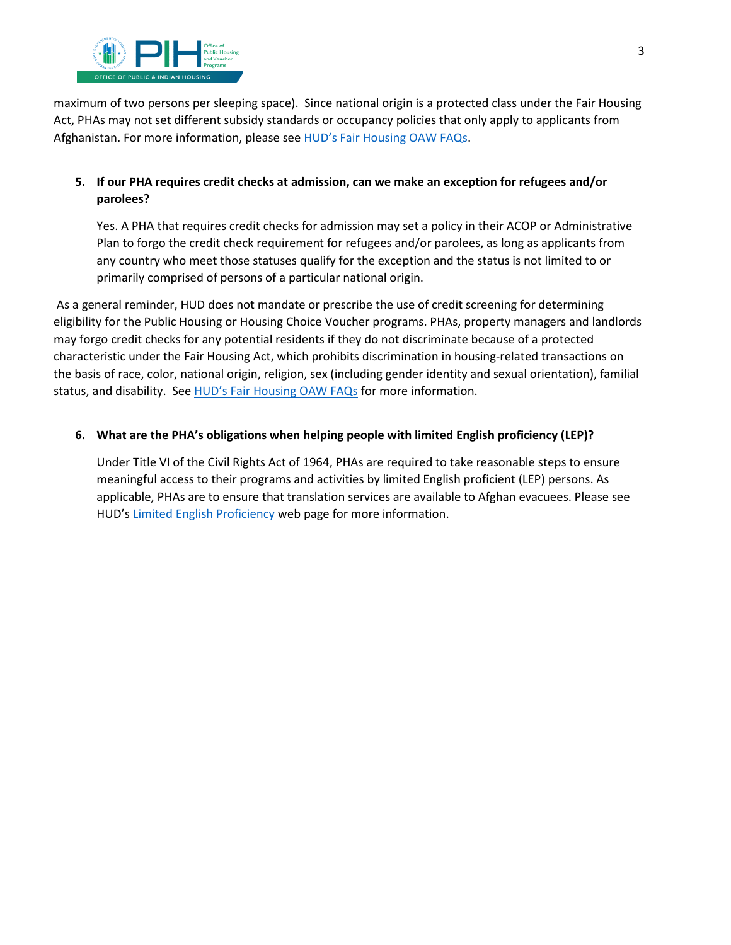

maximum of two persons per sleeping space). Since national origin is a protected class under the Fair Housing Act, PHAs may not set different subsidy standards or occupancy policies that only apply to applicants from Afghanistan. For more information, please se[e HUD's Fair Housing OAW FAQs.](https://www.hud.gov/sites/dfiles/FHEO/documents/Afghan%20Refugee%20and%20Paroles%20FAQ%20-%20Operation%20Allies%20Welcome.pdf)

### **5. If our PHA requires credit checks at admission, can we make an exception for refugees and/or parolees?**

Yes. A PHA that requires credit checks for admission may set a policy in their ACOP or Administrative Plan to forgo the credit check requirement for refugees and/or parolees, as long as applicants from any country who meet those statuses qualify for the exception and the status is not limited to or primarily comprised of persons of a particular national origin.

 As a general reminder, HUD does not mandate or prescribe the use of credit screening for determining eligibility for the Public Housing or Housing Choice Voucher programs. PHAs, property managers and landlords may forgo credit checks for any potential residents if they do not discriminate because of a protected characteristic under the Fair Housing Act, which prohibits discrimination in housing-related transactions on the basis of race, color, national origin, religion, sex (including gender identity and sexual orientation), familial status, and disability. Se[e HUD's Fair Housing OAW FAQs](https://www.hud.gov/sites/dfiles/FHEO/documents/Afghan%20Refugee%20and%20Paroles%20FAQ%20-%20Operation%20Allies%20Welcome.pdf) for more information.

### **6. What are the PHA's obligations when helping people with limited English proficiency (LEP)?**

Under Title VI of the Civil Rights Act of 1964, PHAs are required to take reasonable steps to ensure meaningful access to their programs and activities by limited English proficient (LEP) persons. As applicable, PHAs are to ensure that translation services are available to Afghan evacuees. Please see HUD's [Limited English Proficiency w](https://www.hud.gov/program_offices/fair_housing_equal_opp/limited_english_proficiency_0)eb page for more information.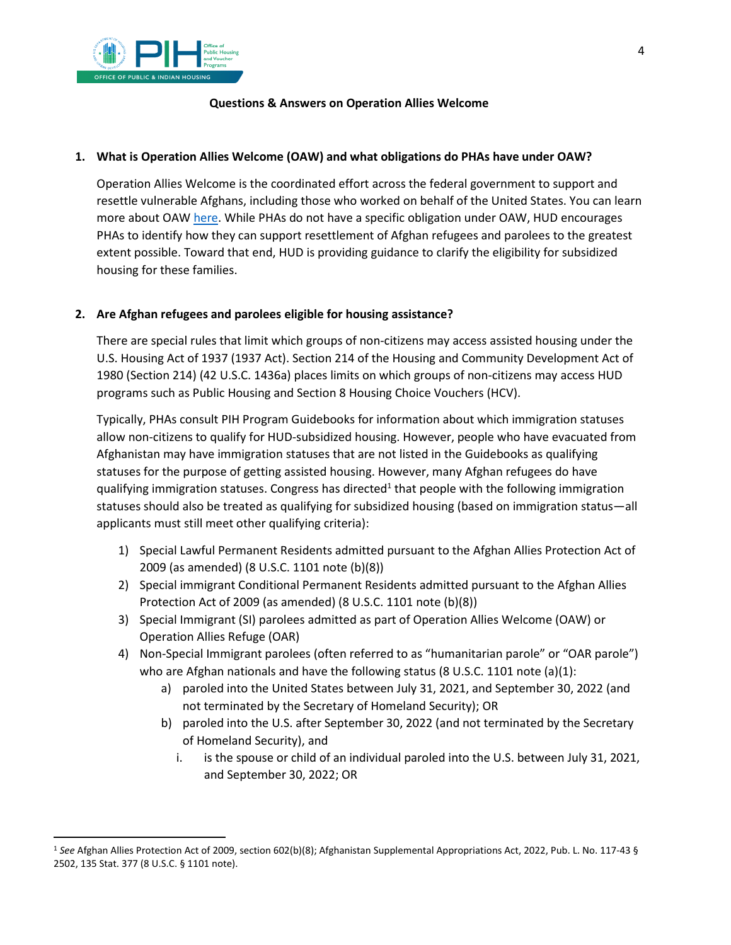

#### **Questions & Answers on Operation Allies Welcome**

#### **1. What is Operation Allies Welcome (OAW) and what obligations do PHAs have under OAW?**

Operation Allies Welcome is the coordinated effort across the federal government to support and resettle vulnerable Afghans, including those who worked on behalf of the United States. You can learn more about OAW [here.](https://www.hudexchange.info/programs/operation-allies-welcome/) While PHAs do not have a specific obligation under OAW, HUD encourages PHAs to identify how they can support resettlement of Afghan refugees and parolees to the greatest extent possible. Toward that end, HUD is providing guidance to clarify the eligibility for subsidized housing for these families.

### **2. Are Afghan refugees and parolees eligible for housing assistance?**

There are special rules that limit which groups of non-citizens may access assisted housing under the U.S. Housing Act of 1937 (1937 Act). Section 214 of the Housing and Community Development Act of 1980 (Section 214) (42 U.S.C. 1436a) places limits on which groups of non-citizens may access HUD programs such as Public Housing and Section 8 Housing Choice Vouchers (HCV).

Typically, PHAs consult PIH Program Guidebooks for information about which immigration statuses allow non-citizens to qualify for HUD-subsidized housing. However, people who have evacuated from Afghanistan may have immigration statuses that are not listed in the Guidebooks as qualifying statuses for the purpose of getting assisted housing. However, many Afghan refugees do have qualifying immigration statuses. Congress has [d](#page-3-0)irected<sup>1</sup> that people with the following immigration statuses should also be treated as qualifying for subsidized housing (based on immigration status—all applicants must still meet other qualifying criteria):

- 1) Special Lawful Permanent Residents admitted pursuant to the Afghan Allies Protection Act of 2009 (as amended) (8 U.S.C. 1101 note (b)(8))
- 2) Special immigrant Conditional Permanent Residents admitted pursuant to the Afghan Allies Protection Act of 2009 (as amended) (8 U.S.C. 1101 note (b)(8))
- 3) Special Immigrant (SI) parolees admitted as part of Operation Allies Welcome (OAW) or Operation Allies Refuge (OAR)
- 4) Non-Special Immigrant parolees (often referred to as "humanitarian parole" or "OAR parole") who are Afghan nationals and have the following status (8 U.S.C. 1101 note (a)(1):
	- a) paroled into the United States between July 31, 2021, and September 30, 2022 (and not terminated by the Secretary of Homeland Security); OR
	- b) paroled into the U.S. after September 30, 2022 (and not terminated by the Secretary of Homeland Security), and
		- i. is the spouse or child of an individual paroled into the U.S. between July 31, 2021, and September 30, 2022; OR

<span id="page-3-0"></span><sup>1</sup> *See* Afghan Allies Protection Act of 2009, section 602(b)(8); Afghanistan Supplemental Appropriations Act, 2022, Pub. L. No. 117-43 § 2502, 135 Stat. 377 (8 U.S.C. § 1101 note).